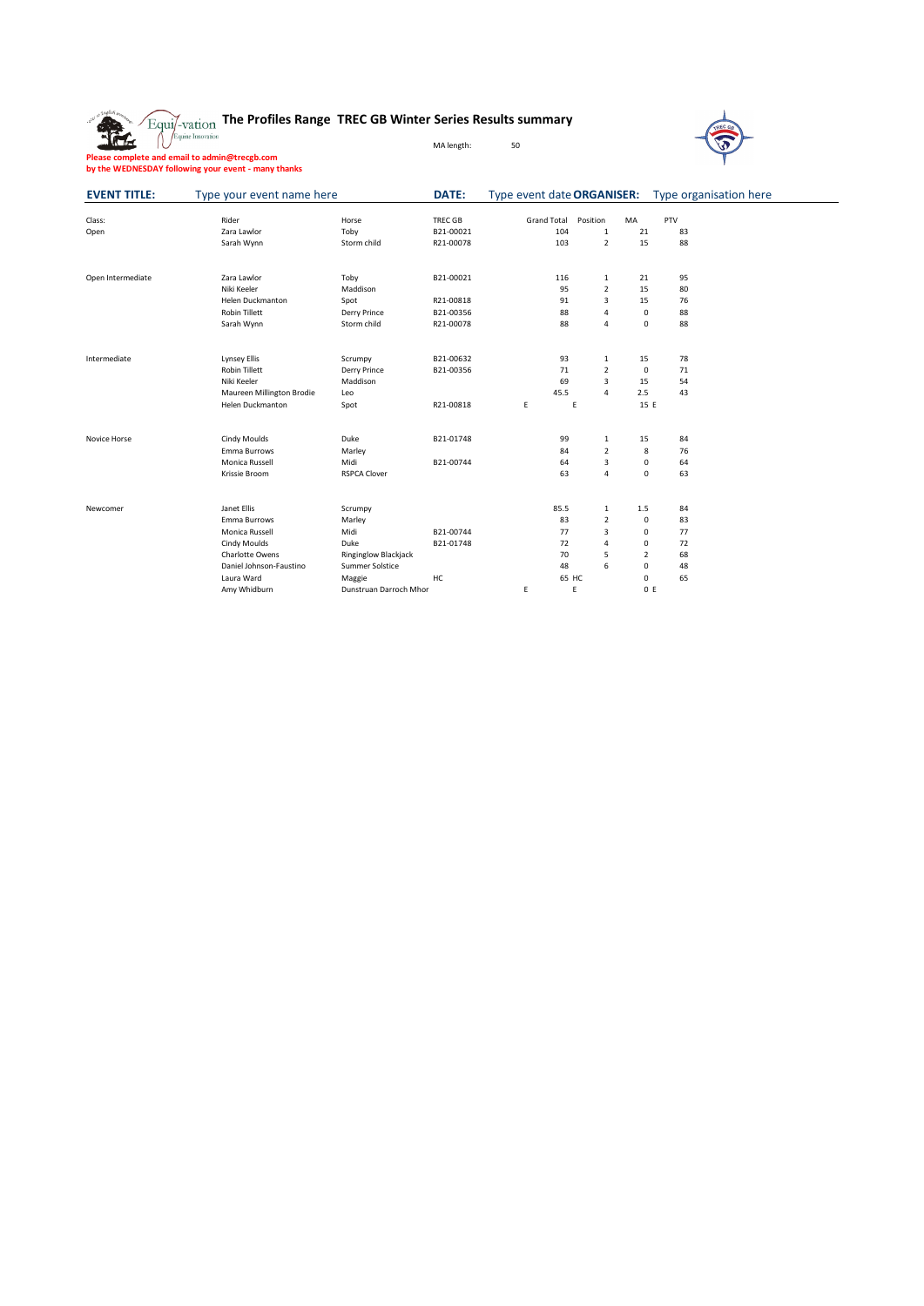**The Profiles Range TREC GB Winter Series Results summary**

**Please complete and email to admin@trecgb.com by the WEDNESDAY following your event - many thanks**



| <b>EVENT TITLE:</b> | Type your event name here |                             | DATE:          | Type event date ORGANISER: Type organisation here |                |                |     |  |
|---------------------|---------------------------|-----------------------------|----------------|---------------------------------------------------|----------------|----------------|-----|--|
|                     |                           |                             |                |                                                   |                |                |     |  |
| Class:              | Rider                     | Horse                       | <b>TREC GB</b> | <b>Grand Total</b>                                | Position       | <b>MA</b>      | PTV |  |
| Open                | Zara Lawlor               | Toby                        | B21-00021      | 104                                               | 1              | 21             | 83  |  |
|                     | Sarah Wynn                | Storm child                 | R21-00078      | 103                                               | $\overline{2}$ | 15             | 88  |  |
| Open Intermediate   | Zara Lawlor               | Toby                        | B21-00021      | 116                                               | $\mathbf{1}$   | 21             | 95  |  |
|                     | Niki Keeler               | Maddison                    |                | 95                                                | $\overline{2}$ | 15             | 80  |  |
|                     | <b>Helen Duckmanton</b>   | Spot                        | R21-00818      | 91                                                | 3              | 15             | 76  |  |
|                     | <b>Robin Tillett</b>      | Derry Prince                | B21-00356      | 88                                                | $\overline{a}$ | $\mathbf 0$    | 88  |  |
|                     | Sarah Wynn                | Storm child                 | R21-00078      | 88                                                | $\overline{a}$ | $\mathbf 0$    | 88  |  |
| Intermediate        | <b>Lynsey Ellis</b>       | Scrumpy                     | B21-00632      | 93                                                | $\mathbf 1$    | 15             | 78  |  |
|                     | <b>Robin Tillett</b>      | Derry Prince                | B21-00356      | 71                                                | $\overline{2}$ | $\mathbf 0$    | 71  |  |
|                     | Niki Keeler               | Maddison                    |                | 69                                                | 3              | 15             | 54  |  |
|                     | Maureen Millington Brodie | Leo                         |                | 45.5                                              | $\overline{a}$ | 2.5            | 43  |  |
|                     | <b>Helen Duckmanton</b>   | Spot                        | R21-00818      | E                                                 | E              | 15 E           |     |  |
|                     |                           |                             |                |                                                   |                |                |     |  |
| Novice Horse        | Cindy Moulds              | Duke                        | B21-01748      | 99                                                | 1              | 15             | 84  |  |
|                     | Emma Burrows              | Marley                      |                | 84                                                | $\overline{2}$ | 8              | 76  |  |
|                     | Monica Russell            | Midi                        | B21-00744      | 64                                                | 3              | 0              | 64  |  |
|                     | Krissie Broom             | <b>RSPCA Clover</b>         |                | 63                                                | $\overline{a}$ | 0              | 63  |  |
| Newcomer            | Janet Ellis               | Scrumpy                     |                | 85.5                                              | 1              | 1.5            | 84  |  |
|                     | Emma Burrows              | Marley                      |                | 83                                                | $\overline{2}$ | 0              | 83  |  |
|                     | Monica Russell            | Midi                        | B21-00744      | 77                                                | 3              | 0              | 77  |  |
|                     | Cindy Moulds              | Duke                        | B21-01748      | 72                                                | $\overline{a}$ | 0              | 72  |  |
|                     | Charlotte Owens           | <b>Ringinglow Blackjack</b> |                | 70                                                | 5              | $\overline{2}$ | 68  |  |
|                     | Daniel Johnson-Faustino   | Summer Solstice             |                | 48                                                | 6              | 0              | 48  |  |
|                     | Laura Ward                | Maggie                      | HC             |                                                   | 65 HC          | 0              | 65  |  |
|                     | Amy Whidburn              | Dunstruan Darroch Mhor      |                | E                                                 | E              | 0 E            |     |  |

MA length: 50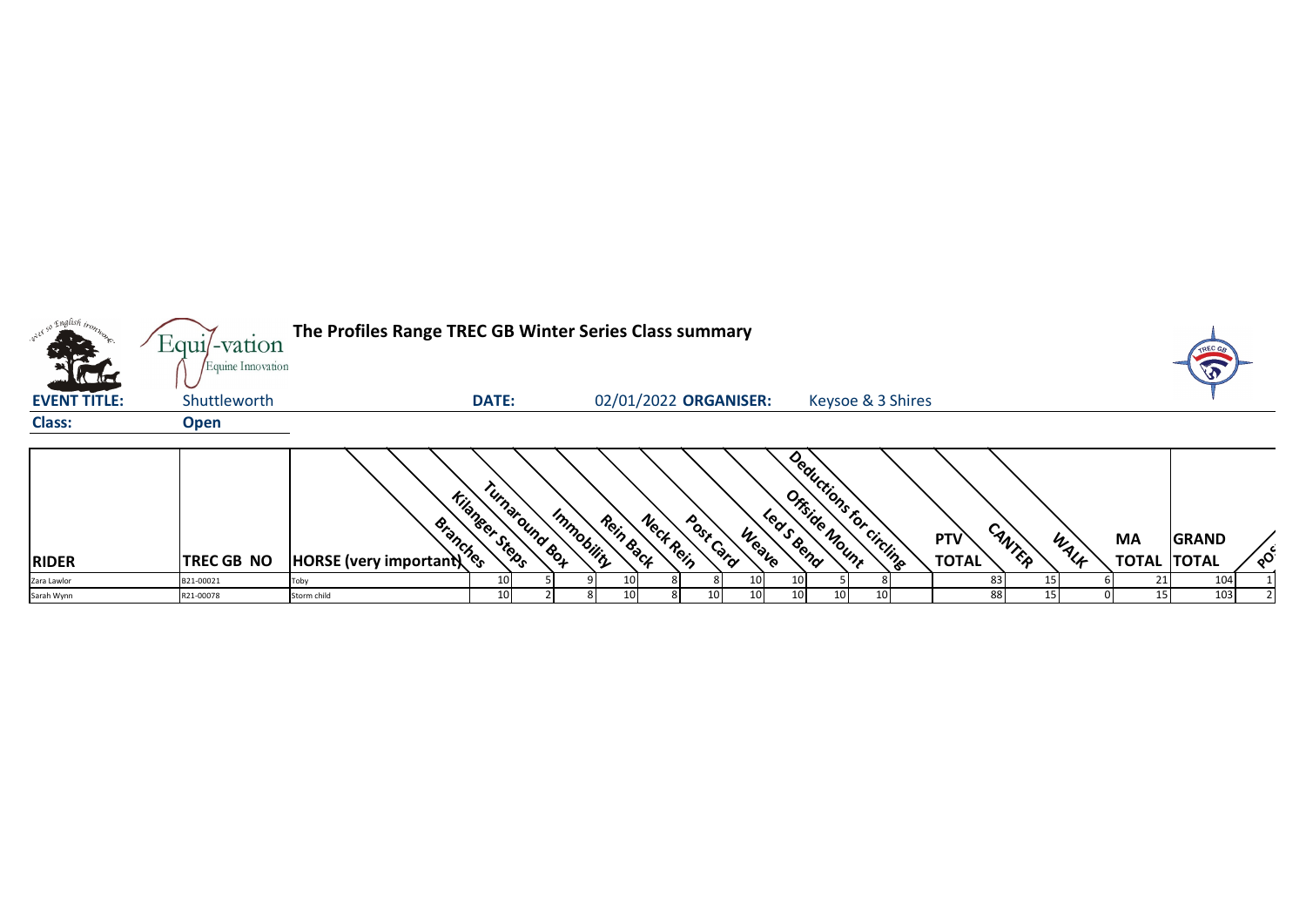|                     | $Equi$ -vation    | The Profiles Range TREC GB Winter Series Class summary |                       |                             |           |                       |           |       |                            |    |                         |              |        |      |                    | <b>TREC G</b> |          |
|---------------------|-------------------|--------------------------------------------------------|-----------------------|-----------------------------|-----------|-----------------------|-----------|-------|----------------------------|----|-------------------------|--------------|--------|------|--------------------|---------------|----------|
|                     | Equine Innovation |                                                        |                       |                             |           |                       |           |       |                            |    |                         |              |        |      |                    | $\sqrt{3}$    |          |
| <b>EVENT TITLE:</b> | Shuttleworth      |                                                        | <b>DATE:</b>          |                             |           | 02/01/2022 ORGANISER: |           |       |                            |    | Keysoe & 3 Shires       |              |        |      |                    |               |          |
| <b>Class:</b>       | <b>Open</b>       |                                                        |                       |                             |           |                       |           |       |                            |    |                         |              |        |      |                    |               |          |
|                     |                   | <b>Example 19 years</b>                                | <b>Kilanger Steps</b> | Tunaround Box<br>Immobility | Rein Back | Neck Rein             | Post Card |       | Ortside Nount<br>Leas Bend |    | Deductions for circling |              |        |      |                    |               |          |
|                     |                   |                                                        |                       |                             |           |                       |           | Weave |                            |    |                         | <b>PTV</b>   | CANTER | WALF | <b>MA</b>          | <b>GRAND</b>  |          |
| <b>RIDER</b>        | <b>TREC GB NO</b> |                                                        |                       |                             |           |                       |           |       |                            |    |                         | <b>TOTAL</b> |        |      | <b>TOTAL TOTAL</b> |               | $\delta$ |
| Zara Lawlor         | B21-00021         | Toby                                                   | 10                    |                             |           |                       |           |       |                            |    |                         |              |        |      |                    | 104           |          |
| Sarah Wynn          | R21-00078         | Storm child                                            | 10                    |                             | 10        |                       | 10        |       | 10                         | 10 |                         |              | 88     |      | 15 <sup>1</sup>    | 103           |          |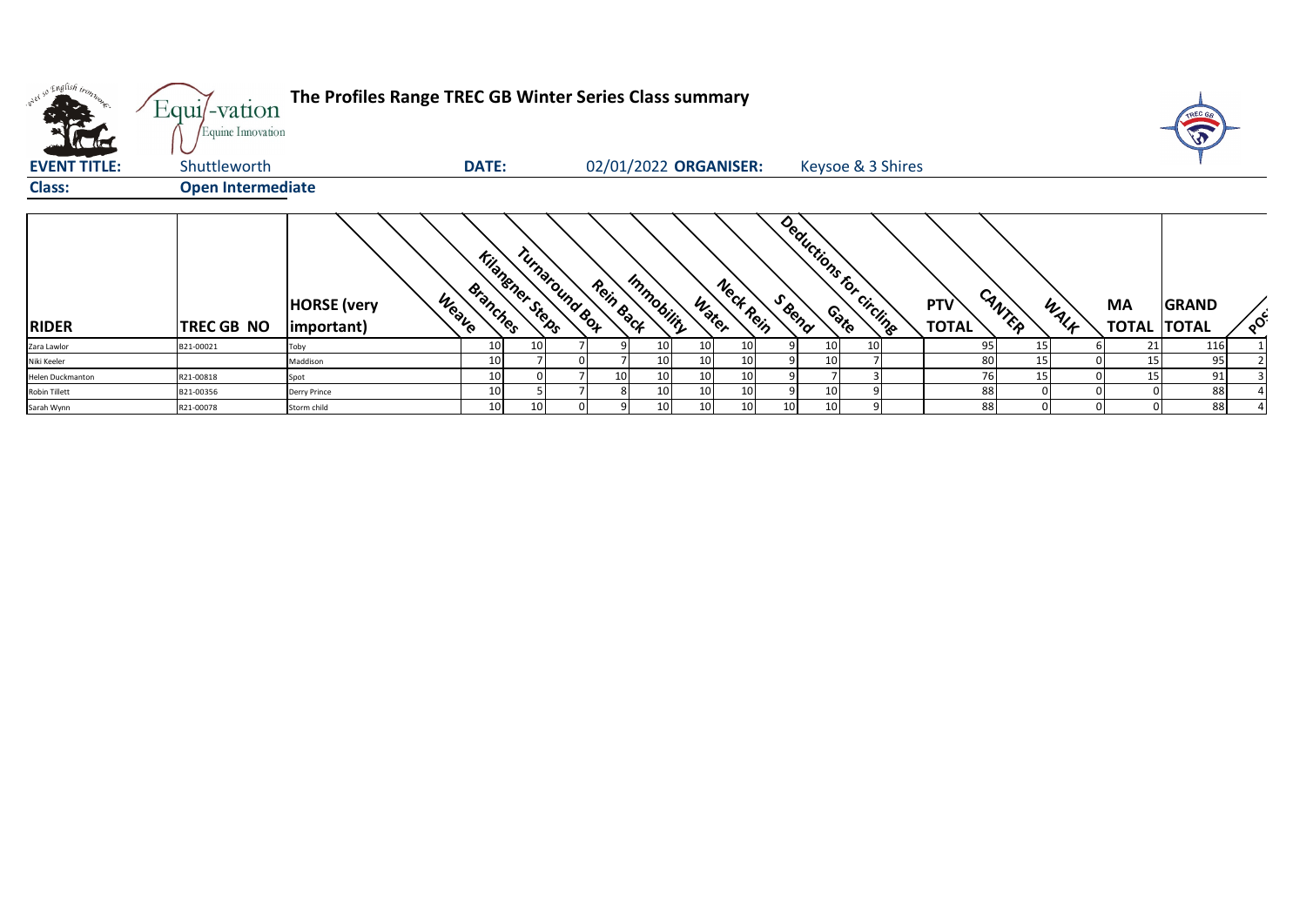| what so English trong<br>$\mathbf{u}$ | $Equi$ -vation<br>Equine Innovation | The Profiles Range TREC GB Winter Series Class summary |                                    |                 |           |                 |                       |        |                          |                            |        |      |                                 | TREC G       |          |
|---------------------------------------|-------------------------------------|--------------------------------------------------------|------------------------------------|-----------------|-----------|-----------------|-----------------------|--------|--------------------------|----------------------------|--------|------|---------------------------------|--------------|----------|
| <b>EVENT TITLE:</b>                   | Shuttleworth                        |                                                        | <b>DATE:</b>                       |                 |           |                 | 02/01/2022 ORGANISER: |        | Keysoe & 3 Shires        |                            |        |      |                                 |              |          |
| <b>Class:</b>                         | <b>Open Intermediate</b>            |                                                        |                                    |                 |           |                 |                       |        |                          |                            |        |      |                                 |              |          |
| <b>RIDER</b>                          | TREC GB NO                          | Weave<br><b>HORSE</b> (very<br>important)              | <b>Kilahener Steps</b><br>Branches | Turnaround Box  | Rein Back | Immobility      | Neck Rein<br>Water    | S Bend | Deductions for circlings | <b>PTV</b><br><b>TOTAL</b> | CANTER | WALK | <b>MA</b><br><b>TOTAL TOTAL</b> | <b>GRAND</b> | $\delta$ |
| Zara Lawlor                           | B21-00021                           | Toby                                                   | 10                                 | 10              |           | 10 <sup>1</sup> | 10<br>10              |        |                          | 95                         | 15     |      | 21                              | 116          |          |
| Niki Keeler                           |                                     | Maddison                                               | 10                                 |                 |           | 10              | 10<br>10              | 10     |                          | 80                         | 15     |      | 15                              | 95           |          |
| Helen Duckmanton                      | R21-00818                           | Spot                                                   | 10                                 |                 | 10        | 10              | 10<br>10              |        |                          | 76                         | 15     |      | 15                              | 91           |          |
| Robin Tillett                         | B21-00356                           | Derry Prince                                           | 10                                 |                 |           | 10              | 10<br>10              | 10     |                          | 88                         |        |      |                                 | 88           |          |
| Sarah Wynn                            | R21-00078                           | Storm child                                            | 10                                 | 10 <sub>1</sub> |           | 10              | 10<br>10              | 10     |                          | 88                         |        |      |                                 | 88           |          |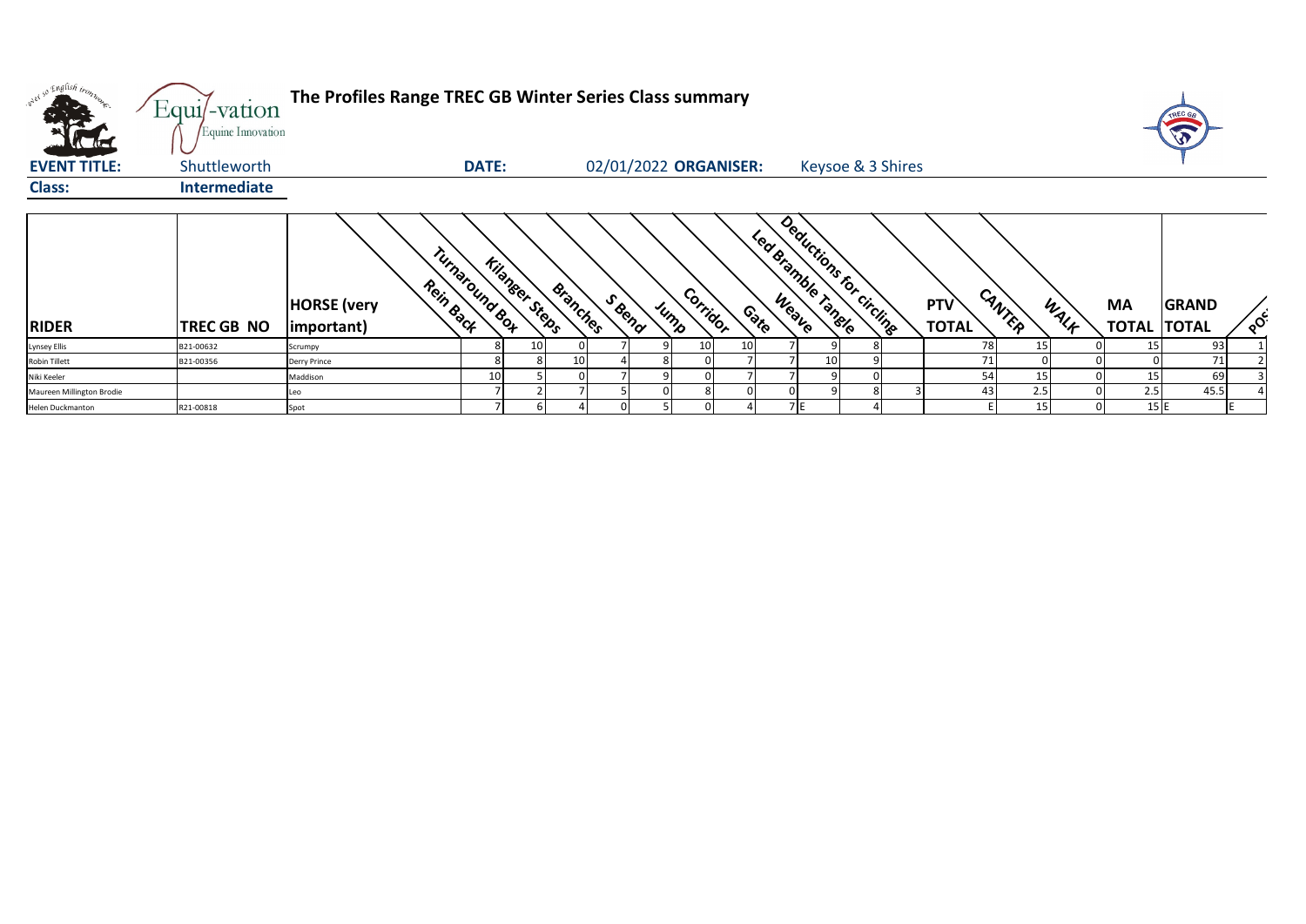| what so English tronz     | Equi/-vation<br>Equine Innovation | The Profiles Range TREC GB Winter Series Class summary          |              |                       |                 |        |                  |                       |        |                                                |  |                     |        |      |                                 | <b>TREC GA</b> |          |
|---------------------------|-----------------------------------|-----------------------------------------------------------------|--------------|-----------------------|-----------------|--------|------------------|-----------------------|--------|------------------------------------------------|--|---------------------|--------|------|---------------------------------|----------------|----------|
| <b>EVENT TITLE:</b>       | Shuttleworth                      |                                                                 | <b>DATE:</b> |                       |                 |        |                  | 02/01/2022 ORGANISER: |        | Keysoe & 3 Shires                              |  |                     |        |      |                                 |                |          |
| <b>Class:</b>             | <b>Intermediate</b>               |                                                                 |              |                       |                 |        |                  |                       |        |                                                |  |                     |        |      |                                 |                |          |
| <b>RIDER</b>              | TREC GB NO                        | Turnaround Box<br>Rein Back<br><b>HORSE</b> (very<br>important) |              | <b>Kilanser Steps</b> | Branches        | S Bend | Corridor<br>Jump |                       | Contro | Deductions for circlings<br>Led Bramble Tangle |  | PTV<br><b>TOTAL</b> | CANTER | WALF | <b>MA</b><br><b>TOTAL TOTAL</b> | <b>GRAND</b>   | $\delta$ |
| <b>Lynsey Ellis</b>       | B21-00632                         | Scrumpy                                                         |              | 10                    |                 |        | 10 <sup>1</sup>  | 10 <sup>1</sup>       |        |                                                |  | 78                  | 15     |      | 15                              | 93             |          |
| Robin Tillett             | B21-00356                         | Derry Prince                                                    |              |                       | 10 <sup>1</sup> |        |                  |                       |        |                                                |  | 71                  |        |      |                                 | 71             |          |
| Niki Keeler               |                                   | Maddison                                                        | 10           |                       |                 |        |                  |                       |        |                                                |  | 54                  |        |      | 15                              | 69             |          |
| Maureen Millington Brodie |                                   | Leo                                                             |              |                       |                 |        |                  |                       |        |                                                |  | 43                  | 2.5    |      | 2.5                             | 45.5           |          |
| Helen Duckmanton          | R21-00818                         | Spot                                                            |              |                       |                 |        |                  |                       |        | 7E                                             |  |                     | 15     | 01   | 15 E                            |                |          |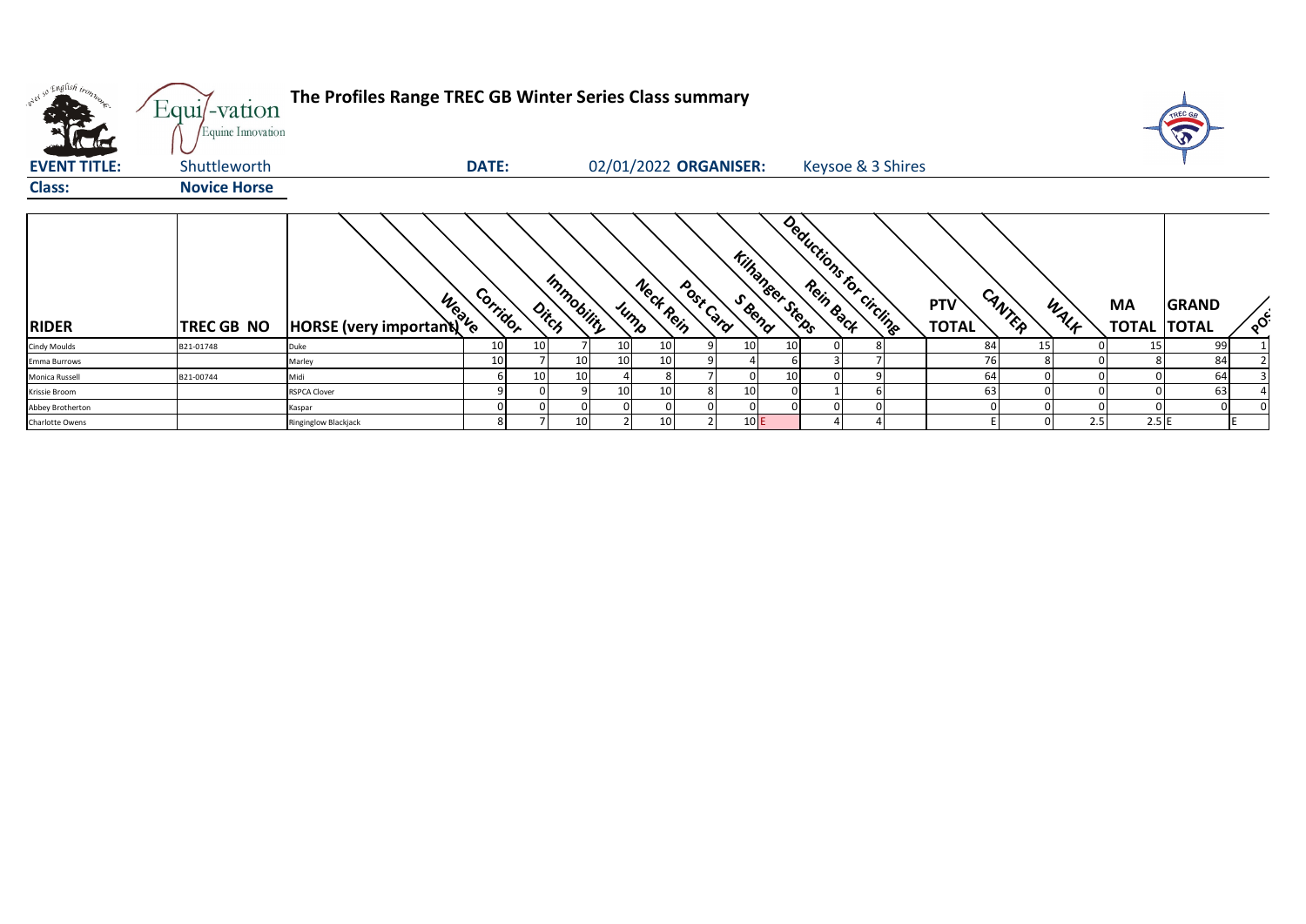| w <sup>ed 50</sup> English tronz.<br>$\mathbf{a}$ | Equi/-vation<br>Equine Innovation | The Profiles Range TREC GB Winter Series Class summary |              |    |                     |      |           |                       |     |                         |                         |                                      |      |                                 |              |          |
|---------------------------------------------------|-----------------------------------|--------------------------------------------------------|--------------|----|---------------------|------|-----------|-----------------------|-----|-------------------------|-------------------------|--------------------------------------|------|---------------------------------|--------------|----------|
| <b>EVENT TITLE:</b>                               | Shuttleworth                      |                                                        | <b>DATE:</b> |    |                     |      |           | 02/01/2022 ORGANISER: |     |                         | Keysoe & 3 Shires       |                                      |      |                                 |              |          |
| <b>Class:</b>                                     | <b>Novice Horse</b>               |                                                        |              |    |                     |      |           |                       |     |                         |                         |                                      |      |                                 |              |          |
| <b>RIDER</b>                                      | TREC GB NO                        | HORSE (very important) to                              | Corridor     |    | Immobility<br>Ditch | Jump | Neck Rein | Post Card             |     | <b>Kilhangeer Steps</b> | Deductions for circling | CANTER<br><b>PTV</b><br><b>TOTAL</b> | WALK | <b>MA</b><br><b>TOTAL TOTAL</b> | <b>GRAND</b> | $\delta$ |
| <b>Cindy Moulds</b>                               | B21-01748                         | Duke                                                   | 10           | 10 |                     | 10   |           |                       | 10  | 10                      |                         | 84                                   | 15   | 15                              | 99           |          |
| Emma Burrows                                      |                                   | Marley                                                 | 10           |    | 10                  | 10   |           |                       |     |                         |                         | 76                                   |      |                                 | 84           |          |
| Monica Russell                                    | B21-00744                         | Midi                                                   |              | 10 | 10                  |      |           |                       |     | 10                      |                         | 64                                   |      |                                 | 64           |          |
| Krissie Broom                                     |                                   | <b>RSPCA Clover</b>                                    |              |    |                     | 10   |           |                       | 10  |                         |                         | 63                                   |      |                                 | 63           |          |
| Abbey Brotherton                                  |                                   | Kaspar                                                 |              |    |                     |      |           |                       |     |                         |                         |                                      |      |                                 |              |          |
| Charlotte Owens                                   |                                   | Ringinglow Blackjack                                   | 8            |    | 10                  |      |           |                       | 10E |                         |                         |                                      | 2.5  | 2.5E                            |              |          |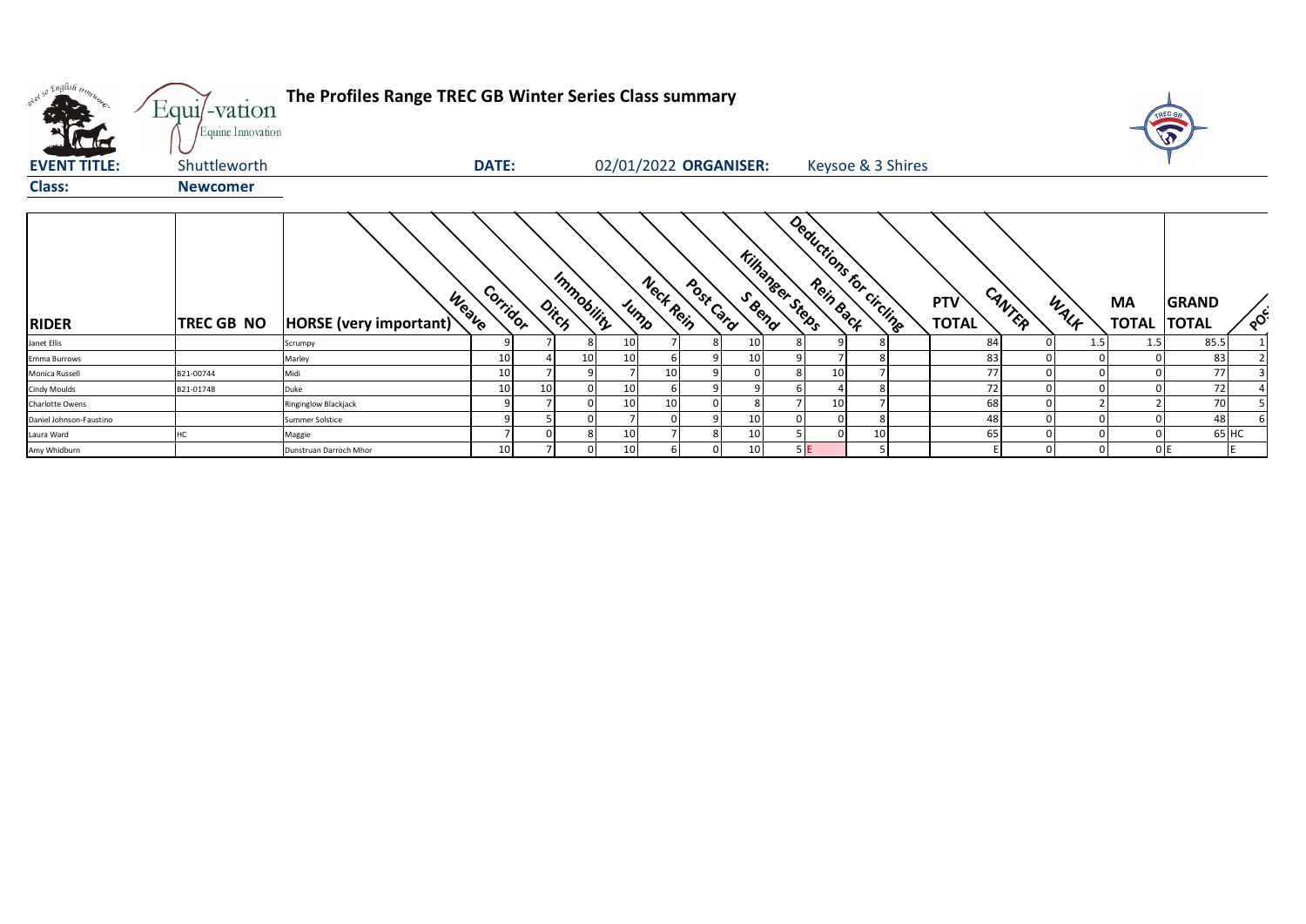| what so English trong   | Equi/-vation<br>Equine Innovation | The Profiles Range TREC GB Winter Series Class summary |              |       |            |                 |           |                       |    |                 |                         |    |                            |        |      |                           | TREC G<br>W                  |          |
|-------------------------|-----------------------------------|--------------------------------------------------------|--------------|-------|------------|-----------------|-----------|-----------------------|----|-----------------|-------------------------|----|----------------------------|--------|------|---------------------------|------------------------------|----------|
| <b>EVENT TITLE:</b>     | Shuttleworth                      |                                                        | <b>DATE:</b> |       |            |                 |           | 02/01/2022 ORGANISER: |    |                 | Keysoe & 3 Shires       |    |                            |        |      |                           |                              |          |
| <b>Class:</b>           | <b>Newcomer</b>                   |                                                        |              |       |            |                 |           |                       |    |                 |                         |    |                            |        |      |                           |                              |          |
| <b>RIDER</b>            | <b>TREC GB NO</b>                 | Weave<br>HORSE (very important)                        | Corridor     | Ditch | Immobility | Jump            | Neck Rein | Post Card             |    | Kilhanger Steps | Deductions for circling |    | <b>PTV</b><br><b>TOTAL</b> | CANTER | WALK | <b>MA</b><br><b>TOTAL</b> | <b>GRAND</b><br><b>TOTAL</b> | $\delta$ |
| Janet Ellis             |                                   | Scrumpy                                                |              |       |            | 10 <sup>1</sup> |           |                       | 10 |                 |                         |    | 84                         |        | 1.5  |                           | 85.5                         |          |
| Emma Burrows            |                                   | Marley                                                 | 10           |       |            | 10              |           |                       |    |                 |                         |    | 83                         |        |      |                           | 83                           |          |
| Monica Russell          | B21-00744                         | Midi                                                   | 10           |       |            |                 | 10        |                       |    |                 | 10                      |    | 77                         |        |      |                           | 77                           |          |
| <b>Cindy Moulds</b>     | B21-01748                         | Duke                                                   | 10           | 10    |            | 10              |           |                       |    |                 |                         |    | 72                         |        |      |                           | 72                           |          |
| Charlotte Owens         |                                   | Ringinglow Blackjack                                   |              |       |            | 10              | 10        |                       |    |                 | 10                      |    | 68                         |        |      |                           | 70                           |          |
| Daniel Johnson-Faustino |                                   | Summer Solstice                                        |              |       |            |                 |           |                       | 10 |                 |                         |    | 48                         |        |      |                           | 48                           |          |
| Laura Ward              |                                   | Maggie                                                 |              |       |            | 10              |           |                       | 10 |                 |                         | 10 | 65                         |        |      |                           |                              | 65 HC    |
| Amy Whidburn            |                                   | Dunstruan Darroch Mhor                                 | 10           |       |            | 10 <sup>1</sup> |           |                       | 10 | 5E              |                         |    |                            |        |      |                           | 0E                           |          |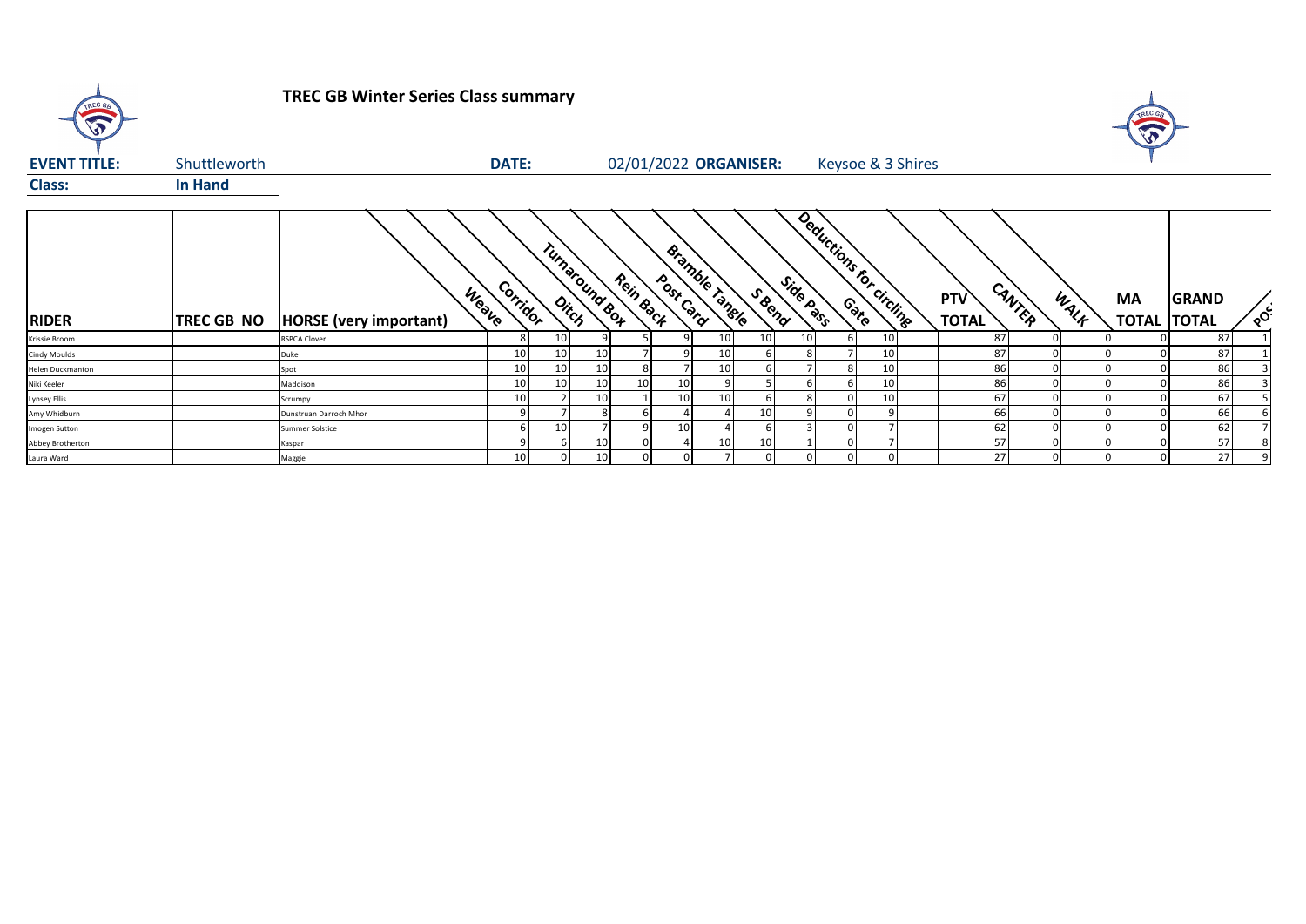

## **TREC GB Winter Series Class summary**



| <b>EVENT TITLE:</b> | Shuttleworth      |                                        | <b>DATE:</b>    |                 |                 |                 | 02/01/2022 ORGANISER:       |        |           |                        | Keysoe & 3 Shires |                     |        |      |                           |                              |          |
|---------------------|-------------------|----------------------------------------|-----------------|-----------------|-----------------|-----------------|-----------------------------|--------|-----------|------------------------|-------------------|---------------------|--------|------|---------------------------|------------------------------|----------|
| <b>Class:</b>       | <b>In Hand</b>    |                                        |                 |                 |                 |                 |                             |        |           |                        |                   |                     |        |      |                           |                              |          |
| <b>RIDER</b>        | <b>TREC GB NO</b> | Weave<br><b>HORSE</b> (very important) | Corridor        |                 | Turnaround Box  | Rein Back       | Bramble Tangle<br>Post Card | S Reno | Side Pass | Deductions for<br>Cato | circling          | PTV<br><b>TOTAL</b> | CANTER | WALF | <b>MA</b><br><b>TOTAL</b> | <b>GRAND</b><br><b>TOTAL</b> | $\delta$ |
| Krissie Broom       |                   | <b>RSPCA Clover</b>                    | 8               | 10              |                 |                 |                             | 10     | 10        |                        | 10 <sub>1</sub>   | 87                  |        |      |                           | 87                           |          |
| Cindy Moulds        |                   | Duke                                   | 10 <sub>1</sub> | 10 <sup>1</sup> | 10 <sub>1</sub> |                 |                             |        |           |                        | 10                | 87                  |        |      |                           | 87                           |          |
| Helen Duckmanton    |                   | Spot                                   | 10              | 10              | 10              |                 |                             |        |           |                        | 10                | 86                  |        |      |                           | 86                           |          |
| Niki Keeler         |                   | Maddison                               | 10              | 10 <sub>1</sub> | 10              | 10 <sup>1</sup> | 10                          |        |           |                        | 10                | 86                  |        |      |                           | 86                           |          |
| Lynsey Ellis        |                   | Scrumpy                                | 10              |                 | 10 <sup>1</sup> |                 | 10                          |        |           |                        | 10                | 67                  |        |      |                           | 67                           |          |
| Amy Whidburn        |                   | Dunstruan Darroch Mhor                 |                 |                 |                 |                 |                             | 10     |           |                        |                   | 66                  |        |      |                           | 66                           |          |
| Imogen Sutton       |                   | Summer Solstice                        |                 | 10              |                 |                 | 10                          |        |           |                        |                   | 62                  |        |      |                           | 62                           |          |
| Abbey Brotherton    |                   | Kaspar                                 |                 |                 | 10 <sub>1</sub> |                 |                             | 10     |           |                        |                   | 57                  |        |      |                           | 57                           |          |
| Laura Ward          |                   | Maggie                                 | 10              |                 | 10 <sup>1</sup> | 0               |                             |        |           |                        |                   | 27                  |        |      |                           | 27 <sub>1</sub>              |          |